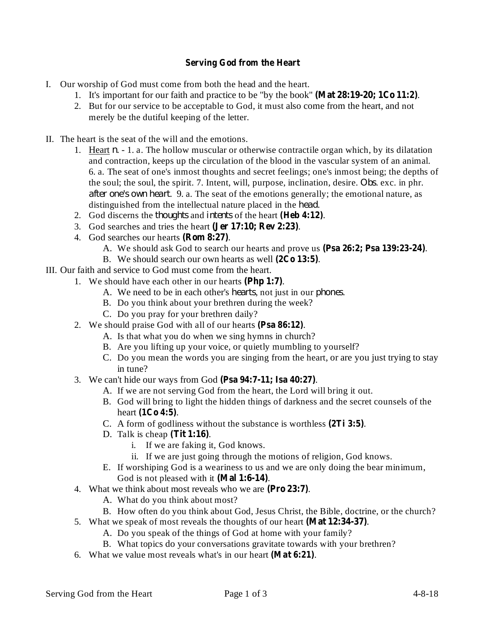## **Serving God from the Heart**

- I. Our worship of God must come from both the head and the heart.
	- 1. It's important for our faith and practice to be "by the book" (Mat 28:19-20; 1Co 11:2).
	- 2. But for our service to be acceptable to God, it must also come from the heart, and not merely be the dutiful keeping of the letter.
- II. The heart is the seat of the will and the emotions.
	- 1. Heart  $n 1$ . a. The hollow muscular or otherwise contractile organ which, by its dilatation and contraction, keeps up the circulation of the blood in the vascular system of an animal. 6. a. The seat of one's inmost thoughts and secret feelings; one's inmost being; the depths of the soul; the soul, the spirit. 7. Intent, will, purpose, inclination, desire. *Obs.* exc. in phr. *after one's own heart.* 9. a. The seat of the emotions generally; the emotional nature, as distinguished from the intellectual nature placed in the *head*.
	- 2. God discerns the *thoughts* and *intents* of the heart (Heb 4:12).
	- 3. God searches and tries the heart (Jer 17:10; Rev 2:23).
	- 4. God searches our hearts (Rom 8:27).
		- A. We should ask God to search our hearts and prove us (Psa 26:2; Psa 139:23-24).
	- B. We should search our own hearts as well  $(2Co 13:5)$ .
- III. Our faith and service to God must come from the heart.
	- 1. We should have each other in our hearts (Php 1:7).
		- A. We need to be in each other's *hearts*, not just in our *phones*.
		- B. Do you think about your brethren during the week?
		- C. Do you pray for your brethren daily?
		- 2. We should praise God with all of our hearts (Psa 86:12).
			- A. Is that what you do when we sing hymns in church?
			- B. Are you lifting up your voice, or quietly mumbling to yourself?
			- C. Do you mean the words you are singing from the heart, or are you just trying to stay in tune?
		- 3. We can't hide our ways from God (Psa 94:7-11; Isa 40:27).
			- A. If we are not serving God from the heart, the Lord will bring it out.
			- B. God will bring to light the hidden things of darkness and the secret counsels of the heart (1Co 4:5).
			- C. A form of godliness without the substance is worthless  $(2Ti 3:5)$ .
			- D. Talk is cheap  $(Tit 1:16)$ .
				- i. If we are faking it, God knows.
				- ii. If we are just going through the motions of religion, God knows.
			- E. If worshiping God is a weariness to us and we are only doing the bear minimum, God is not pleased with it (Mal 1:6-14).
		- 4. What we think about most reveals who we are (Pro 23:7).
			- A. What do you think about most?
			- B. How often do you think about God, Jesus Christ, the Bible, doctrine, or the church?
		- 5. What we speak of most reveals the thoughts of our heart (Mat 12:34-37).
			- A. Do you speak of the things of God at home with your family?
			- B. What topics do your conversations gravitate towards with your brethren?
		- 6. What we value most reveals what's in our heart (Mat 6:21).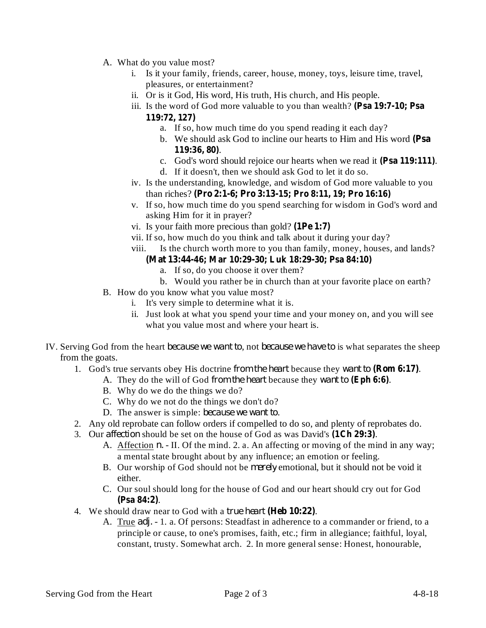- A. What do you value most?
	- i. Is it your family, friends, career, house, money, toys, leisure time, travel, pleasures, or entertainment?
	- ii. Or is it God, His word, His truth, His church, and His people.
	- iii. Is the word of God more valuable to you than wealth? **(Psa 19:7-10; Psa 119:72, 127)**
		- a. If so, how much time do you spend reading it each day?
			- b. We should ask God to incline our hearts to Him and His word **(Psa** . **119:36, 80)**
		- c. God's word should rejoice our hearts when we read it (Psa 119:111).
		- d. If it doesn't, then we should ask God to let it do so.
	- iv. Is the understanding, knowledge, and wisdom of God more valuable to you than riches? **(Pro 2:1-6; Pro 3:13-15; Pro 8:11, 19; Pro 16:16)**
	- v. If so, how much time do you spend searching for wisdom in God's word and asking Him for it in prayer?
	- vi. Is your faith more precious than gold? **(1Pe 1:7)**
	- vii. If so, how much do you think and talk about it during your day?
	- viii. Is the church worth more to you than family, money, houses, and lands?
		- **(Mat 13:44-46; Mar 10:29-30; Luk 18:29-30; Psa 84:10)**
			- a. If so, do you choose it over them?
			- b. Would you rather be in church than at your favorite place on earth?
- B. How do you know what you value most?
	- i. It's very simple to determine what it is.
	- ii. Just look at what you spend your time and your money on, and you will see what you value most and where your heart is.
- IV. Serving God from the heart *because* we want to, not *because* we have to is what separates the sheep from the goats.
	- 1. God's true servants obey His doctrine from the heart because they want to (Rom 6:17).
		- A. They do the will of God from the heart because they want to (Eph 6:6).
		- B. Why do we do the things we do?
		- C. Why do we not do the things we don't do?
		- D. The answer is simple: *because we want to*.
	- 2. Any old reprobate can follow orders if compelled to do so, and plenty of reprobates do.
	- 3. Our *affection* should be set on the house of God as was David's (1Ch 29:3).
		- A. Affection *n*. II. Of the mind. 2. a. An affecting or moving of the mind in any way; a mental state brought about by any influence; an emotion or feeling.
		- B. Our worship of God should not be *merely* emotional, but it should not be void it either.
		- C. Our soul should long for the house of God and our heart should cry out for God . **(Psa 84:2)**
	- 4. We should draw near to God with a *true heart* (Heb 10:22).
		- A. True *adj.* 1. a. Of persons: Steadfast in adherence to a commander or friend, to a principle or cause, to one's promises, faith, etc.; firm in allegiance; faithful, loyal, constant, trusty. Somewhat arch. 2. In more general sense: Honest, honourable,